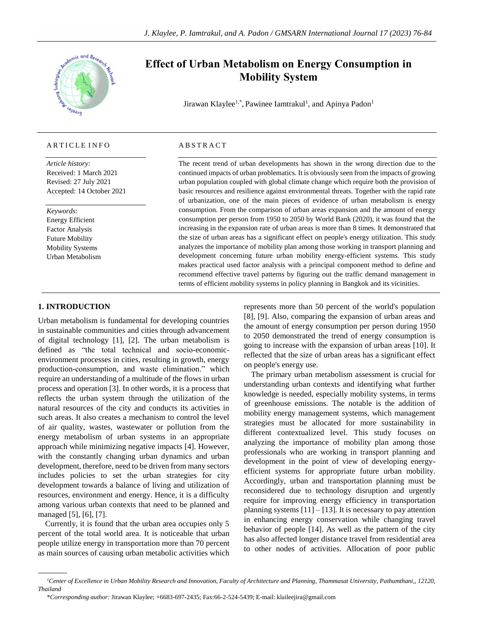

# ARTICLE INFO

*Article history:* Received: 1 March 2021 Revised: 27 July 2021 Accepted: 14 October 2021

*Keywords*: Energy Efficient Factor Analysis Future Mobility Mobility Systems Urban Metabolism

# **Effect of Urban Metabolism on Energy Consumption in Mobility System**

Jirawan Klaylee<sup>1,\*</sup>, Pawinee Iamtrakul<sup>1</sup>, and Apinya Padon<sup>1</sup>

# A B S T R A C T

The recent trend of urban developments has shown in the wrong direction due to the continued impacts of urban problematics. It is obviously seen from the impacts of growing urban population coupled with global climate change which require both the provision of basic resources and resilience against environmental threats. Together with the rapid rate of urbanization, one of the main pieces of evidence of urban metabolism is energy consumption. From the comparison of urban areas expansion and the amount of energy consumption per person from 1950 to 2050 by World Bank (2020), it was found that the increasing in the expansion rate of urban areas is more than 8 times. It demonstrated that the size of urban areas has a significant effect on people's energy utilization. This study analyzes the importance of mobility plan among those working in transport planning and development concerning future urban mobility energy-efficient systems. This study makes practical used factor analysis with a principal component method to define and recommend effective travel patterns by figuring out the traffic demand management in terms of efficient mobility systems in policy planning in Bangkok and its vicinities.

# **1. INTRODUCTION**

Urban metabolism is fundamental for developing countries in sustainable communities and cities through advancement of digital technology [1], [2]. The urban metabolism is defined as "the total technical and socio-economicenvironment processes in cities, resulting in growth, energy production-consumption, and waste elimination." which require an understanding of a multitude of the flows in urban process and operation [3]. In other words, it is a process that reflects the urban system through the utilization of the natural resources of the city and conducts its activities in such areas. It also creates a mechanism to control the level of air quality, wastes, wastewater or pollution from the energy metabolism of urban systems in an appropriate approach while minimizing negative impacts [4]. However, with the constantly changing urban dynamics and urban development, therefore, need to be driven from many sectors includes policies to set the urban strategies for city development towards a balance of living and utilization of resources, environment and energy. Hence, it is a difficulty among various urban contexts that need to be planned and managed [5], [6], [7].

Currently, it is found that the urban area occupies only 5 percent of the total world area. It is noticeable that urban people utilize energy in transportation more than 70 percent as main sources of causing urban metabolic activities which

represents more than 50 percent of the world's population [8], [9]. Also, comparing the expansion of urban areas and the amount of energy consumption per person during 1950 to 2050 demonstrated the trend of energy consumption is going to increase with the expansion of urban areas [10]. It reflected that the size of urban areas has a significant effect on people's energy use.

The primary urban metabolism assessment is crucial for understanding urban contexts and identifying what further knowledge is needed, especially mobility systems, in terms of greenhouse emissions. The notable is the addition of mobility energy management systems, which management strategies must be allocated for more sustainability in different contextualized level. This study focuses on analyzing the importance of mobility plan among those professionals who are working in transport planning and development in the point of view of developing energyefficient systems for appropriate future urban mobility. Accordingly, urban and transportation planning must be reconsidered due to technology disruption and urgently require for improving energy efficiency in transportation planning systems  $[11] - [13]$ . It is necessary to pay attention in enhancing energy conservation while changing travel behavior of people [14]. As well as the pattern of the city has also affected longer distance travel from residential area to other nodes of activities. Allocation of poor public

*<sup>1</sup>Center of Excellence in Urban Mobility Research and Innovation, Faculty of Architecture and Planning, Thammasat University, Pathumthani,, 12120, Thailand*

<sup>\*</sup>*Corresponding author:* Jirawan Klaylee; +6683-697-2435; Fax:66-2-524-5439; E-mail: klaileejira@gmail.com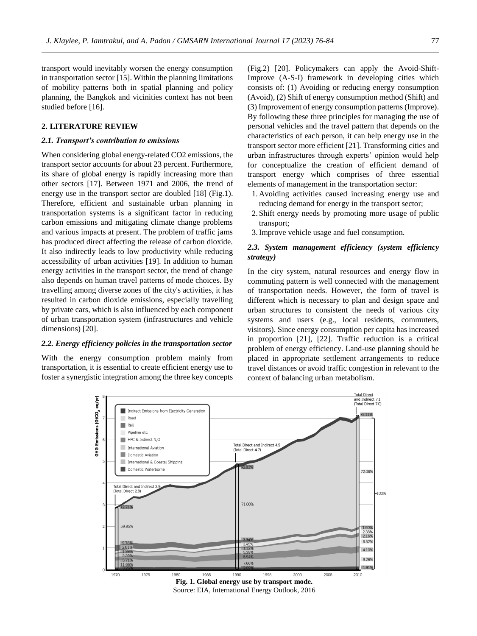transport would inevitably worsen the energy consumption in transportation sector [15]. Within the planning limitations of mobility patterns both in spatial planning and policy planning, the Bangkok and vicinities context has not been studied before [16].

## **2. LITERATURE REVIEW**

#### *2.1. Transport's contribution to emissions*

When considering global energy-related CO2 emissions, the transport sector accounts for about 23 percent. Furthermore, its share of global energy is rapidly increasing more than other sectors [17]. Between 1971 and 2006, the trend of energy use in the transport sector are doubled [18] (Fig.1). Therefore, efficient and sustainable urban planning in transportation systems is a significant factor in reducing carbon emissions and mitigating climate change problems and various impacts at present. The problem of traffic jams has produced direct affecting the release of carbon dioxide. It also indirectly leads to low productivity while reducing accessibility of urban activities [19]. In addition to human energy activities in the transport sector, the trend of change also depends on human travel patterns of mode choices. By travelling among diverse zones of the city's activities, it has resulted in carbon dioxide emissions, especially travelling by private cars, which is also influenced by each component of urban transportation system (infrastructures and vehicle dimensions) [20].

#### *2.2. Energy efficiency policies in the transportation sector*

With the energy consumption problem mainly from transportation, it is essential to create efficient energy use to foster a synergistic integration among the three key concepts (Fig.2) [20]. Policymakers can apply the Avoid-Shift-Improve (A-S-I) framework in developing cities which consists of: (1) Avoiding or reducing energy consumption (Avoid), (2) Shift of energy consumption method (Shift) and (3) Improvement of energy consumption patterns (Improve). By following these three principles for managing the use of personal vehicles and the travel pattern that depends on the characteristics of each person, it can help energy use in the transport sector more efficient [21]. Transforming cities and urban infrastructures through experts' opinion would help for conceptualize the creation of efficient demand of transport energy which comprises of three essential elements of management in the transportation sector:

- 1. Avoiding activities caused increasing energy use and reducing demand for energy in the transport sector;
- 2. Shift energy needs by promoting more usage of public transport;
- 3.Improve vehicle usage and fuel consumption.

# *2.3. System management efficiency (system efficiency strategy)*

In the city system, natural resources and energy flow in commuting pattern is well connected with the management of transportation needs. However, the form of travel is different which is necessary to plan and design space and urban structures to consistent the needs of various city systems and users (e.g., local residents, commuters, visitors). Since energy consumption per capita has increased in proportion [21], [22]. Traffic reduction is a critical problem of energy efficiency. Land-use planning should be placed in appropriate settlement arrangements to reduce travel distances or avoid traffic congestion in relevant to the context of balancing urban metabolism.



Source: EIA, International Energy Outlook, 2016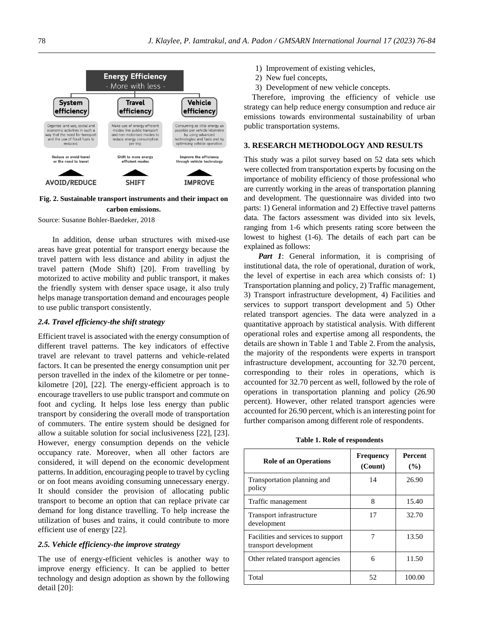

## **Fig. 2. Sustainable transport instruments and their impact on carbon emissions.**

Source: Susanne Bohler-Baedeker, 2018

In addition, dense urban structures with mixed-use areas have great potential for transport energy because the travel pattern with less distance and ability in adjust the travel pattern (Mode Shift) [20]. From travelling by motorized to active mobility and public transport, it makes the friendly system with denser space usage, it also truly helps manage transportation demand and encourages people to use public transport consistently.

# *2.4. Travel efficiency-the shift strategy*

Efficient travel is associated with the energy consumption of different travel patterns. The key indicators of effective travel are relevant to travel patterns and vehicle-related factors. It can be presented the energy consumption unit per person travelled in the index of the kilometre or per tonnekilometre [20], [22]. The energy-efficient approach is to encourage travellers to use public transport and commute on foot and cycling. It helps lose less energy than public transport by considering the overall mode of transportation of commuters. The entire system should be designed for allow a suitable solution for social inclusiveness [22], [23]. However, energy consumption depends on the vehicle occupancy rate. Moreover, when all other factors are considered, it will depend on the economic development patterns. In addition, encouraging people to travel by cycling or on foot means avoiding consuming unnecessary energy. It should consider the provision of allocating public transport to become an option that can replace private car demand for long distance travelling. To help increase the utilization of buses and trains, it could contribute to more efficient use of energy [22].

# *2.5. Vehicle efficiency-the improve strategy*

The use of energy-efficient vehicles is another way to improve energy efficiency. It can be applied to better technology and design adoption as shown by the following detail [20]:

- 1) Improvement of existing vehicles,
- 2) New fuel concepts,
- 3) Development of new vehicle concepts.

Therefore, improving the efficiency of vehicle use strategy can help reduce energy consumption and reduce air emissions towards environmental sustainability of urban public transportation systems.

#### **3. RESEARCH METHODOLOGY AND RESULTS**

This study was a pilot survey based on 52 data sets which were collected from transportation experts by focusing on the importance of mobility efficiency of those professional who are currently working in the areas of transportation planning and development. The questionnaire was divided into two parts: 1) General information and 2) Effective travel patterns data. The factors assessment was divided into six levels, ranging from 1-6 which presents rating score between the lowest to highest (1-6). The details of each part can be explained as follows:

*Part 1*: General information, it is comprising of institutional data, the role of operational, duration of work, the level of expertise in each area which consists of: 1) Transportation planning and policy, 2) Traffic management, 3) Transport infrastructure development, 4) Facilities and services to support transport development and 5) Other related transport agencies. The data were analyzed in a quantitative approach by statistical analysis. With different operational roles and expertise among all respondents, the details are shown in Table 1 and Table 2. From the analysis, the majority of the respondents were experts in transport infrastructure development, accounting for 32.70 percent, corresponding to their roles in operations, which is accounted for 32.70 percent as well, followed by the role of operations in transportation planning and policy (26.90 percent). However, other related transport agencies were accounted for 26.90 percent, which is an interesting point for further comparison among different role of respondents.

**Table 1. Role of respondents**

| <b>Role of an Operations</b>                                | <b>Frequency</b><br>(Count) | <b>Percent</b><br>(%) |  |  |
|-------------------------------------------------------------|-----------------------------|-----------------------|--|--|
| Transportation planning and<br>policy                       | 14                          | 26.90                 |  |  |
| Traffic management                                          | 8                           | 15.40                 |  |  |
| Transport infrastructure<br>development                     | 17                          | 32.70                 |  |  |
| Facilities and services to support<br>transport development | 7                           | 13.50                 |  |  |
| Other related transport agencies                            | 6                           | 11.50                 |  |  |
| Total                                                       | 52                          | 100.00                |  |  |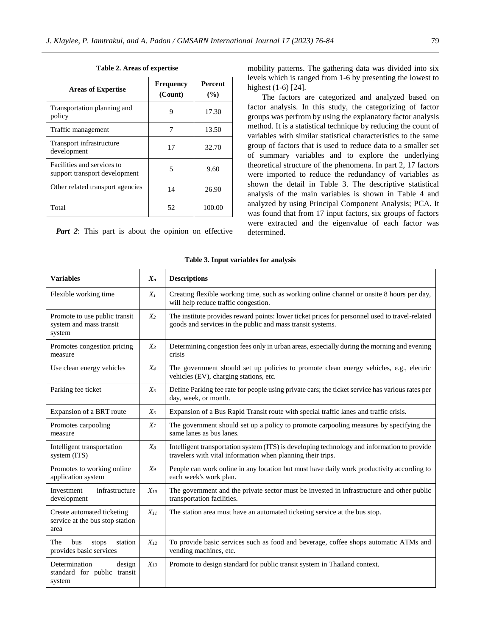| <b>Areas of Expertise</b>                                   | <b>Frequency</b><br>(Count) | <b>Percent</b><br>(%) |  |  |
|-------------------------------------------------------------|-----------------------------|-----------------------|--|--|
| Transportation planning and<br>policy                       | 9                           | 17.30                 |  |  |
| Traffic management                                          |                             | 13.50                 |  |  |
| Transport infrastructure<br>development                     | 17                          | 32.70                 |  |  |
| Facilities and services to<br>support transport development | 5                           | 9.60                  |  |  |
| Other related transport agencies                            | 14                          | 26.90                 |  |  |
| Total                                                       | 52                          | 100.00                |  |  |

**Table 2. Areas of expertise**

*Part 2*: This part is about the opinion on effective

mobility patterns. The gathering data was divided into six levels which is ranged from 1-6 by presenting the lowest to highest (1-6) [24].

The factors are categorized and analyzed based on factor analysis. In this study, the categorizing of factor groups was perfrom by using the explanatory factor analysis method. It is a statistical technique by reducing the count of variables with similar statistical characteristics to the same group of factors that is used to reduce data to a smaller set of summary variables and to explore the underlying theoretical structure of the phenomena. In part 2, 17 factors were imported to reduce the redundancy of variables as shown the detail in Table 3. The descriptive statistical analysis of the main variables is shown in Table 4 and analyzed by using Principal Component Analysis; PCA. It was found that from 17 input factors, six groups of factors were extracted and the eigenvalue of each factor was determined.

| <b>Variables</b>                                                      | $X_n$          | <b>Descriptions</b>                                                                                                                                          |
|-----------------------------------------------------------------------|----------------|--------------------------------------------------------------------------------------------------------------------------------------------------------------|
| Flexible working time                                                 | $X_I$          | Creating flexible working time, such as working online channel or onsite 8 hours per day,<br>will help reduce traffic congestion.                            |
| Promote to use public transit<br>system and mass transit<br>system    | $X_2$          | The institute provides reward points: lower ticket prices for personnel used to travel-related<br>goods and services in the public and mass transit systems. |
| Promotes congestion pricing<br>measure                                | $X_3$          | Determining congestion fees only in urban areas, especially during the morning and evening<br>crisis                                                         |
| Use clean energy vehicles                                             | $X_4$          | The government should set up policies to promote clean energy vehicles, e.g., electric<br>vehicles (EV), charging stations, etc.                             |
| Parking fee ticket                                                    | $X_5$          | Define Parking fee rate for people using private cars; the ticket service has various rates per<br>day, week, or month.                                      |
| Expansion of a BRT route                                              | $X_5$          | Expansion of a Bus Rapid Transit route with special traffic lanes and traffic crisis.                                                                        |
| Promotes carpooling<br>measure                                        | X <sub>7</sub> | The government should set up a policy to promote carpooling measures by specifying the<br>same lanes as bus lanes.                                           |
| Intelligent transportation<br>system (ITS)                            | $X_8$          | Intelligent transportation system (ITS) is developing technology and information to provide<br>travelers with vital information when planning their trips.   |
| Promotes to working online<br>application system                      | $X_9$          | People can work online in any location but must have daily work productivity according to<br>each week's work plan.                                          |
| infrastructure<br>Investment<br>development                           | $X_{10}$       | The government and the private sector must be invested in infrastructure and other public<br>transportation facilities.                                      |
| Create automated ticketing<br>service at the bus stop station<br>area | $X_{II}$       | The station area must have an automated ticketing service at the bus stop.                                                                                   |
| The<br>bus<br>station<br>stops<br>provides basic services             | $X_{12}$       | To provide basic services such as food and beverage, coffee shops automatic ATMs and<br>vending machines, etc.                                               |
| Determination<br>design<br>standard for public transit<br>system      | $X_{13}$       | Promote to design standard for public transit system in Thailand context.                                                                                    |

#### **Table 3. Input variables for analysis**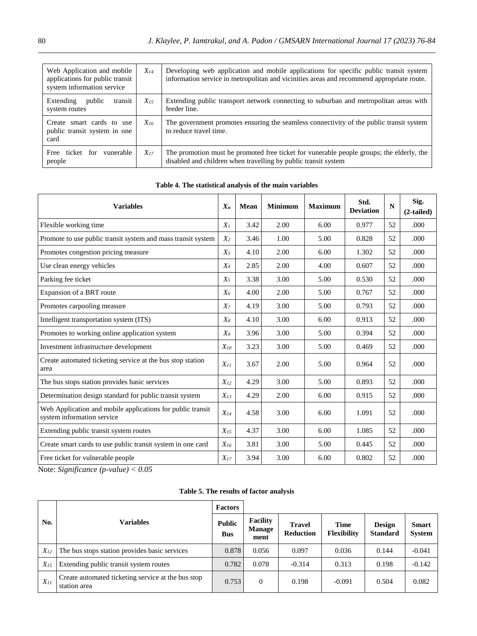| Web Application and mobile<br>applications for public transit<br>system information service | $X_{14}$ | Developing web application and mobile applications for specific public transit system<br>information service in metropolitan and vicinities areas and recommend appropriate route. |
|---------------------------------------------------------------------------------------------|----------|------------------------------------------------------------------------------------------------------------------------------------------------------------------------------------|
| Extending<br>public<br>transit<br>system routes                                             | $X_{15}$ | Extending public transport network connecting to suburban and metropolitan areas with<br>feeder line.                                                                              |
| Create smart cards to use<br>public transit system in one<br>card                           | $X_{16}$ | The government promotes ensuring the seamless connectivity of the public transit system<br>to reduce travel time.                                                                  |
| Free ticket for<br>vunerable<br>people                                                      | $X_{17}$ | The promotion must be promoted free ticket for vunerable people groups; the elderly, the<br>disabled and children when travelling by public transit system                         |

# **Table 4. The statistical analysis of the main variables**

| <b>Variables</b>                                                                         | $X_n$    | <b>Mean</b> | <b>Minimum</b> | <b>Maximum</b> | Std.<br><b>Deviation</b> | $\mathbf N$ | Sig.<br>$(2-tailed)$ |
|------------------------------------------------------------------------------------------|----------|-------------|----------------|----------------|--------------------------|-------------|----------------------|
| Flexible working time                                                                    | $X_I$    | 3.42        | 2.00           | 6.00           | 0.977                    | 52          | .000                 |
| Promote to use public transit system and mass transit system                             | $X_2$    | 3.46        | 1.00           | 5.00           | 0.828                    | 52          | .000                 |
| Promotes congestion pricing measure                                                      | $X_3$    | 4.10        | 2.00           | 6.00           | 1.302                    | 52          | .000                 |
| Use clean energy vehicles                                                                | $X_4$    | 2.85        | 2.00           | 4.00           | 0.607                    | 52          | .000                 |
| Parking fee ticket                                                                       | $X_5$    | 3.38        | 3.00           | 5.00           | 0.530                    | 52          | .000                 |
| Expansion of a BRT route                                                                 | $X_6$    | 4.00        | 2.00           | 5.00           | 0.767                    | 52          | .000                 |
| Promotes carpooling measure                                                              | $X_7$    | 4.19        | 3.00           | 5.00           | 0.793                    | 52          | .000                 |
| Intelligent transportation system (ITS)                                                  | $X_8$    | 4.10        | 3.00           | 6.00           | 0.913                    | 52          | .000                 |
| Promotes to working online application system                                            | $X_9$    | 3.96        | 3.00           | 5.00           | 0.394                    | 52          | .000                 |
| Investment infrastructure development                                                    | $X_{10}$ | 3.23        | 3.00           | 5.00           | 0.469                    | 52          | .000                 |
| Create automated ticketing service at the bus stop station<br>area                       | $X_{II}$ | 3.67        | 2.00           | 5.00           | 0.964                    | 52          | .000                 |
| The bus stops station provides basic services                                            | $X_{12}$ | 4.29        | 3.00           | 5.00           | 0.893                    | 52          | .000                 |
| Determination design standard for public transit system                                  | $X_{13}$ | 4.29        | 2.00           | 6.00           | 0.915                    | 52          | .000                 |
| Web Application and mobile applications for public transit<br>system information service | $X_{14}$ | 4.58        | 3.00           | 6.00           | 1.091                    | 52          | .000                 |
| Extending public transit system routes                                                   | $X_{15}$ | 4.37        | 3.00           | 6.00           | 1.085                    | 52          | .000                 |
| Create smart cards to use public transit system in one card                              | $X_{16}$ | 3.81        | 3.00           | 5.00           | 0.445                    | 52          | .000                 |
| Free ticket for vulnerable people                                                        | $X_{17}$ | 3.94        | 3.00           | 6.00           | 0.802                    | 52          | .000                 |

Note: *Significance (p-value) < 0.05*

# **Table 5. The results of factor analysis**

|          | <b>Variables</b>                                                   | <b>Factors</b>              |                                   |                                   |                                   |                                  |                               |
|----------|--------------------------------------------------------------------|-----------------------------|-----------------------------------|-----------------------------------|-----------------------------------|----------------------------------|-------------------------------|
| No.      |                                                                    | <b>Public</b><br><b>Bus</b> | <b>Facility</b><br>Manage<br>ment | <b>Travel</b><br><b>Reduction</b> | <b>Time</b><br><b>Flexibility</b> | <b>Design</b><br><b>Standard</b> | <b>Smart</b><br><b>System</b> |
| $X_{12}$ | The bus stops station provides basic services                      | 0.878                       | 0.056                             | 0.097                             | 0.036                             | 0.144                            | $-0.041$                      |
| $X_{15}$ | Extending public transit system routes                             | 0.782                       | 0.078                             | $-0.314$                          | 0.313                             | 0.198                            | $-0.142$                      |
| $X_{11}$ | Create automated ticketing service at the bus stop<br>station area | 0.753                       | $\Omega$                          | 0.198                             | $-0.091$                          | 0.504                            | 0.082                         |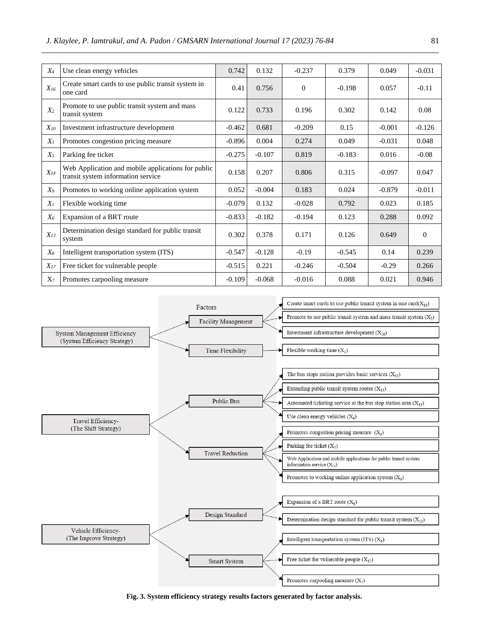| $X_4$          | Use clean energy vehicles                                                                | 0.742    | 0.132    | $-0.237$ | 0.379    | 0.049    | $-0.031$ |
|----------------|------------------------------------------------------------------------------------------|----------|----------|----------|----------|----------|----------|
| $X_{16}$       | Create smart cards to use public transit system in<br>one card                           | 0.41     | 0.756    | $\Omega$ | $-0.198$ | 0.057    | $-0.11$  |
| X <sub>2</sub> | Promote to use public transit system and mass<br>transit system                          | 0.122    | 0.733    | 0.196    | 0.302    | 0.142    | 0.08     |
| $X_{10}$       | Investment infrastructure development                                                    | $-0.462$ | 0.681    | $-0.209$ | 0.15     | $-0.001$ | $-0.126$ |
| $X_3$          | Promotes congestion pricing measure                                                      | $-0.896$ | 0.004    | 0.274    | 0.049    | $-0.031$ | 0.048    |
| $X_5$          | Parking fee ticket                                                                       | $-0.275$ | $-0.107$ | 0.819    | $-0.183$ | 0.016    | $-0.08$  |
| $X_{14}$       | Web Application and mobile applications for public<br>transit system information service | 0.158    | 0.207    | 0.806    | 0.315    | $-0.097$ | 0.047    |
| $X_9$          | Promotes to working online application system                                            | 0.052    | $-0.004$ | 0.183    | 0.024    | $-0.879$ | $-0.011$ |
| $X_I$          | Flexible working time                                                                    | $-0.079$ | 0.132    | $-0.028$ | 0.792    | 0.023    | 0.185    |
| $X_6$          | Expansion of a BRT route                                                                 | $-0.833$ | $-0.182$ | $-0.194$ | 0.123    | 0.288    | 0.092    |
| $X_{13}$       | Determination design standard for public transit<br>system                               | 0.302    | 0.378    | 0.171    | 0.126    | 0.649    | $\theta$ |
| $X_8$          | Intelligent transportation system (ITS)                                                  | $-0.547$ | $-0.128$ | $-0.19$  | $-0.545$ | 0.14     | 0.239    |
| $X_{17}$       | Free ticket for vulnerable people                                                        | $-0.515$ | 0.221    | $-0.246$ | $-0.504$ | $-0.29$  | 0.266    |
| $X_7$          | Promotes carpooling measure                                                              | $-0.109$ | $-0.068$ | $-0.016$ | 0.088    | 0.021    | 0.946    |



**Fig. 3. System efficiency strategy results factors generated by factor analysis.**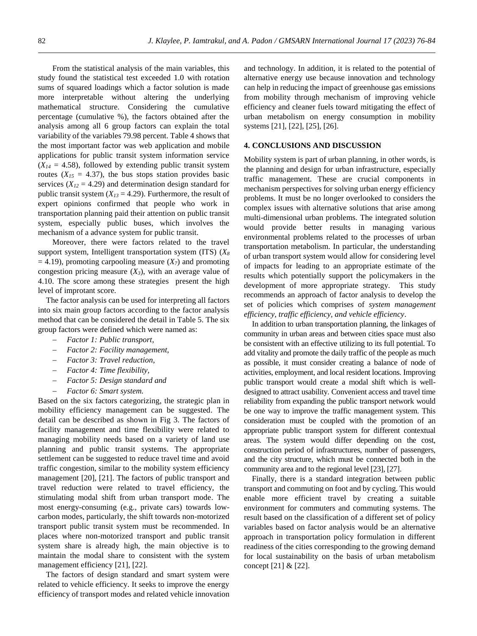From the statistical analysis of the main variables, this study found the statistical test exceeded 1.0 with rotation sums of squared loadings which a factor solution is made more interpretable without altering the underlying mathematical structure. Considering the cumulative percentage (cumulative %), the factors obtained after the analysis among all 6 group factors can explain the total variability of the variables 79.98 percent. Table 4 shows that the most important factor was web application and mobile applications for public transit system information service  $(X_{14} = 4.58)$ , followed by extending public transit system routes  $(X_{15} = 4.37)$ , the bus stops station provides basic services  $(X_{12} = 4.29)$  and determination design standard for public transit system  $(X_{13} = 4.29)$ . Furthermore, the result of expert opinions confirmed that people who work in transportation planning paid their attention on public transit system, especially public buses, which involves the mechanism of a advance system for public transit.

Moreover, there were factors related to the travel support system, Intelligent transportation system (ITS) (*X<sup>8</sup>*  $= 4.19$ ), promoting carpooling measure (*X<sub>7</sub>*) and promoting congestion pricing measure  $(X_3)$ , with an average value of 4.10. The score among these strategies present the high level of improtant score.

The factor analysis can be used for interpreting all factors into six main group factors according to the factor analysis method that can be considered the detail in Table 5. The six group factors were defined which were named as:

- *Factor 1: Public transport,*
- *Factor 2: Facility management,*
- *Factor 3: Travel reduction,*
- *Factor 4: Time flexibility,*
- *Factor 5: Design standard and*
- *Factor 6: Smart system.*

Based on the six factors categorizing, the strategic plan in mobility efficiency management can be suggested. The detail can be described as shown in Fig 3. The factors of facility management and time flexibility were related to managing mobility needs based on a variety of land use planning and public transit systems. The appropriate settlement can be suggested to reduce travel time and avoid traffic congestion, similar to the mobility system efficiency management [20], [21]. The factors of public transport and travel reduction were related to travel efficiency, the stimulating modal shift from urban transport mode. The most energy-consuming (e.g., private cars) towards lowcarbon modes, particularly, the shift towards non-motorized transport public transit system must be recommended. In places where non-motorized transport and public transit system share is already high, the main objective is to maintain the modal share to consistent with the system management efficiency [21], [22].

The factors of design standard and smart system were related to vehicle efficiency. It seeks to improve the energy efficiency of transport modes and related vehicle innovation and technology. In addition, it is related to the potential of alternative energy use because innovation and technology can help in reducing the impact of greenhouse gas emissions from mobility through mechanism of improving vehicle efficiency and cleaner fuels toward mitigating the effect of urban metabolism on energy consumption in mobility systems [21], [22], [25], [26].

#### **4. CONCLUSIONS AND DISCUSSION**

Mobility system is part of urban planning, in other words, is the planning and design for urban infrastructure, especially traffic management. These are crucial components in mechanism perspectives for solving urban energy efficiency problems. It must be no longer overlooked to considers the complex issues with alternative solutions that arise among multi-dimensional urban problems. The integrated solution would provide better results in managing various environmental problems related to the processes of urban transportation metabolism. In particular, the understanding of urban transport system would allow for considering level of impacts for leading to an appropriate estimate of the results which potentially support the policymakers in the development of more appropriate strategy. This study recommends an approach of factor analysis to develop the set of policies which comprises of *system management efficiency, traffic efficiency, and vehicle efficiency*.

In addition to urban transportation planning, the linkages of community in urban areas and between cities space must also be consistent with an effective utilizing to its full potential. To add vitality and promote the daily traffic of the people as much as possible, it must consider creating a balance of node of activities, employment, and local resident locations. Improving public transport would create a modal shift which is welldesigned to attract usability. Convenient access and travel time reliability from expanding the public transport network would be one way to improve the traffic management system. This consideration must be coupled with the promotion of an appropriate public transport system for different contextual areas. The system would differ depending on the cost, construction period of infrastructures, number of passengers, and the city structure, which must be connected both in the community area and to the regional level [23], [27].

Finally, there is a standard integration between public transport and commuting on foot and by cycling. This would enable more efficient travel by creating a suitable environment for commuters and commuting systems. The result based on the classification of a different set of policy variables based on factor analysis would be an alternative approach in transportation policy formulation in different readiness of the cities corresponding to the growing demand for local sustainability on the basis of urban metabolism concept [21] & [22].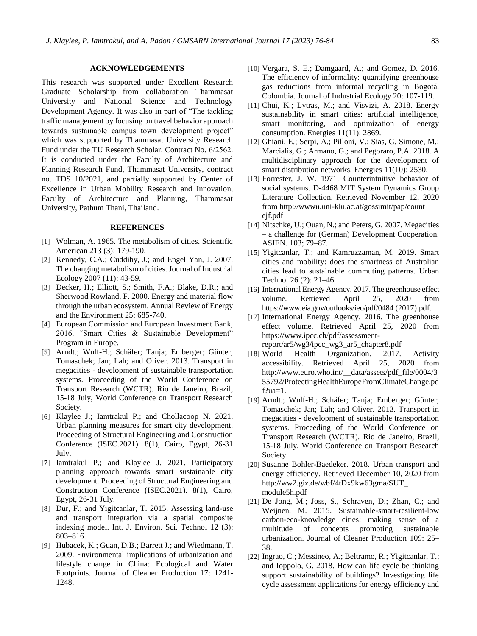# **ACKNOWLEDGEMENTS**

This research was supported under Excellent Research Graduate Scholarship from collaboration Thammasat University and National Science and Technology Development Agency. It was also in part of "The tackling traffic management by focusing on travel behavior approach towards sustainable campus town development project" which was supported by Thammasat University Research Fund under the TU Research Scholar, Contract No. 6/2562. It is conducted under the Faculty of Architecture and Planning Research Fund, Thammasat University, contract no. TDS 10/2021, and partially supported by Center of Excellence in Urban Mobility Research and Innovation, Faculty of Architecture and Planning, Thammasat University, Pathum Thani, Thailand.

#### **REFERENCES**

- [1] Wolman, A. 1965. The metabolism of cities. Scientific American 213 (3): 179-190.
- [2] Kennedy, C.A.; Cuddihy, J.; and Engel Yan, J. 2007. The changing metabolism of cities. Journal of Industrial Ecology 2007 (11): 43-59.
- [3] Decker, H.; Elliott, S.; Smith, F.A.; Blake, D.R.; and Sherwood Rowland, F. 2000. Energy and material flow through the urban ecosystem. Annual Review of Energy and the Environment 25: 685-740.
- [4] European Commission and European Investment Bank, 2016. "Smart Cities & Sustainable Development" Program in Europe.
- [5] Arndt.; Wulf-H.; Schäfer; Tanja; Emberger; Günter; Tomaschek; Jan; Lah; and Oliver. 2013. Transport in megacities - development of sustainable transportation systems. Proceeding of the World Conference on Transport Research (WCTR). Rio de Janeiro, Brazil, 15-18 July, World Conference on Transport Research Society.
- [6] Klaylee J.; Iamtrakul P.; and Chollacoop N. 2021. Urban planning measures for smart city development. Proceeding of Structural Engineering and Construction Conference (ISEC.2021). 8(1), Cairo, Egypt, 26-31 July.
- [7] Iamtrakul P.; and Klaylee J. 2021. Participatory planning approach towards smart sustainable city development. Proceeding of Structural Engineering and Construction Conference (ISEC.2021). 8(1), Cairo, Egypt, 26-31 July.
- [8] Dur, F.; and Yigitcanlar, T. 2015. Assessing land-use and transport integration via a spatial composite indexing model. Int. J. Environ. Sci. Technol 12 (3): 803–816.
- [9] Hubacek, K.; Guan, D.B.; Barrett J.; and Wiedmann, T. 2009. Environmental implications of urbanization and lifestyle change in China: Ecological and Water Footprints. Journal of Cleaner Production 17: 1241- 1248.
- [10] Vergara, S. E.; Damgaard, A.; and Gomez, D. 2016. The efficiency of informality: quantifying greenhouse gas reductions from informal recycling in Bogotá, Colombia. Journal of Industrial Ecology 20: 107-119.
- [11] Chui, K.; Lytras, M.; and Visvizi, A. 2018. Energy sustainability in smart cities: artificial intelligence, smart monitoring, and optimization of energy consumption. Energies 11(11): 2869.
- [12] Ghiani, E.; Serpi, A.; Pilloni, V.; Sias, G. Simone, M.; Marcialis, G.; Armano, G.; and Pegoraro, P.A. 2018. A multidisciplinary approach for the development of smart distribution networks. Energies 11(10): 2530.
- [13] Forrester, J. W. 1971. Counterintuitive behavior of social systems. D-4468 MIT System Dynamics Group Literature Collection. Retrieved November 12, 2020 from <http://wwwu.uni-klu.ac.at/gossimit/pap/count> ejf.pdf
- [14] Nitschke, U.; Ouan, N.; and Peters, G. 2007. Megacities – a challenge for (German) Development Cooperation. ASIEN. 103; 79–87.
- [15] Yigitcanlar, T.; and Kamruzzaman, M. 2019. Smart cities and mobility: does the smartness of Australian cities lead to sustainable commuting patterns. Urban Technol 26 (2): 21–46.
- [16] International Energy Agency. 2017. The greenhouse effect volume. Retrieved April 25, 2020 from https://www.eia.gov/outlooks/ieo/pdf/0484 (2017).pdf.
- [17] International Energy Agency. 2016. The greenhouse effect volume. Retrieved April 25, 2020 from https://www.ipcc.ch/pdf/assessmentreport/ar5/wg3/ipcc\_wg3\_ar5\_chapter8.pdf
- [18] World Health Organization. 2017. Activity accessibility. Retrieved April 25, 2020 from http://www.euro.who.int/\_\_data/assets/pdf\_file/0004/3 55792/ProtectingHealthEuropeFromClimateChange.pd f?ua=1.
- [19] Arndt.; Wulf-H.; Schäfer; Tanja; Emberger; Günter; Tomaschek; Jan; Lah; and Oliver. 2013. Transport in megacities - development of sustainable transportation systems. Proceeding of the World Conference on Transport Research (WCTR). Rio de Janeiro, Brazil, 15-18 July, World Conference on Transport Research Society.
- [20] Susanne Bohler-Baedeker. 2018. Urban transport and energy efficiency. Retrieved December 10, 2020 from http://ww2.giz.de/wbf/4tDx9kw63gma/SUT\_ module5h.pdf
- [21] De Jong, M.; Joss, S., Schraven, D.; Zhan, C.; and Weijnen, M. 2015. Sustainable-smart-resilient-low carbon-eco-knowledge cities; making sense of a multitude of concepts promoting sustainable urbanization. Journal of Cleaner Production 109: 25– 38.
- [22] Ingrao, C.; Messineo, A.; Beltramo, R.; Yigitcanlar, T.; and Ioppolo, G. 2018. How can life cycle be thinking support sustainability of buildings? Investigating life cycle assessment applications for energy efficiency and